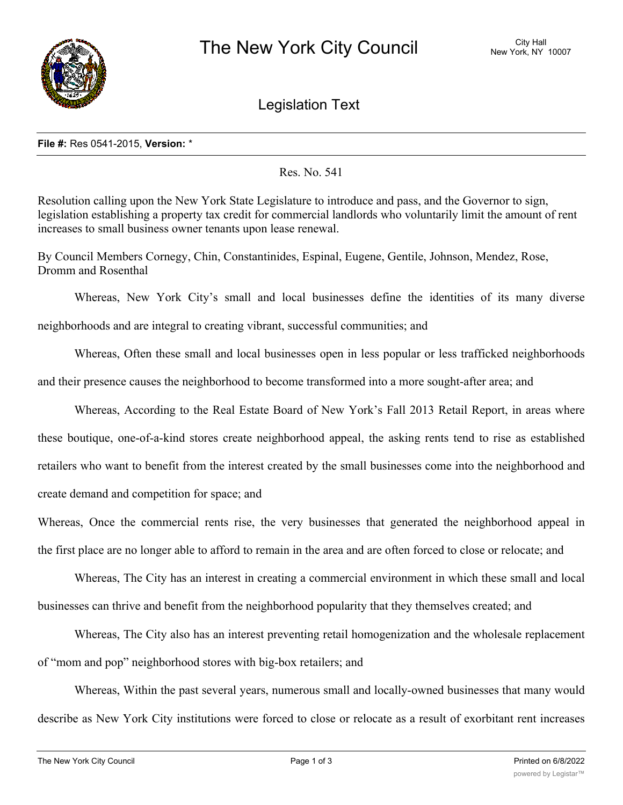

Legislation Text

## **File #:** Res 0541-2015, **Version:** \*

Res. No. 541

Resolution calling upon the New York State Legislature to introduce and pass, and the Governor to sign, legislation establishing a property tax credit for commercial landlords who voluntarily limit the amount of rent increases to small business owner tenants upon lease renewal.

By Council Members Cornegy, Chin, Constantinides, Espinal, Eugene, Gentile, Johnson, Mendez, Rose, Dromm and Rosenthal

Whereas, New York City's small and local businesses define the identities of its many diverse neighborhoods and are integral to creating vibrant, successful communities; and

Whereas, Often these small and local businesses open in less popular or less trafficked neighborhoods and their presence causes the neighborhood to become transformed into a more sought-after area; and

Whereas, According to the Real Estate Board of New York's Fall 2013 Retail Report, in areas where these boutique, one-of-a-kind stores create neighborhood appeal, the asking rents tend to rise as established retailers who want to benefit from the interest created by the small businesses come into the neighborhood and create demand and competition for space; and

Whereas, Once the commercial rents rise, the very businesses that generated the neighborhood appeal in the first place are no longer able to afford to remain in the area and are often forced to close or relocate; and

Whereas, The City has an interest in creating a commercial environment in which these small and local businesses can thrive and benefit from the neighborhood popularity that they themselves created; and

Whereas, The City also has an interest preventing retail homogenization and the wholesale replacement of "mom and pop" neighborhood stores with big-box retailers; and

Whereas, Within the past several years, numerous small and locally-owned businesses that many would describe as New York City institutions were forced to close or relocate as a result of exorbitant rent increases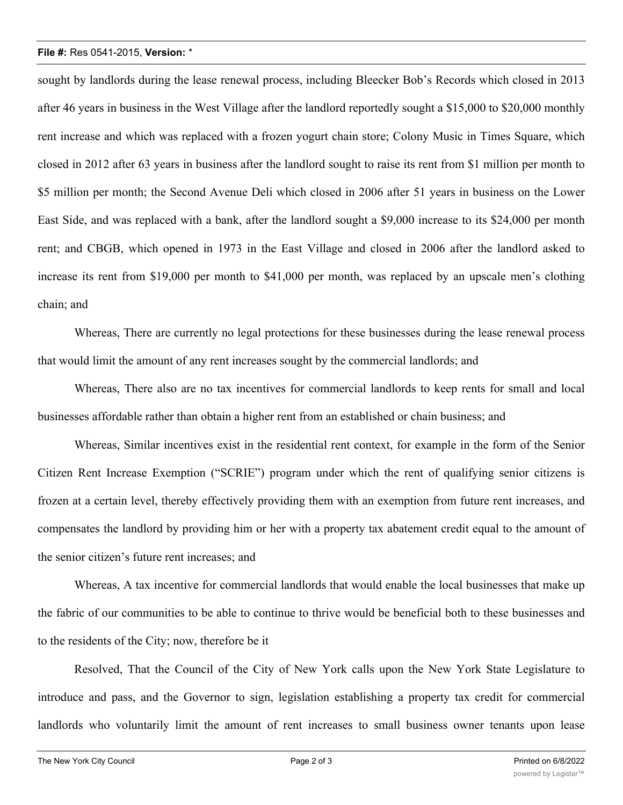## **File #:** Res 0541-2015, **Version:** \*

sought by landlords during the lease renewal process, including Bleecker Bob's Records which closed in 2013 after 46 years in business in the West Village after the landlord reportedly sought a \$15,000 to \$20,000 monthly rent increase and which was replaced with a frozen yogurt chain store; Colony Music in Times Square, which closed in 2012 after 63 years in business after the landlord sought to raise its rent from \$1 million per month to \$5 million per month; the Second Avenue Deli which closed in 2006 after 51 years in business on the Lower East Side, and was replaced with a bank, after the landlord sought a \$9,000 increase to its \$24,000 per month rent; and CBGB, which opened in 1973 in the East Village and closed in 2006 after the landlord asked to increase its rent from \$19,000 per month to \$41,000 per month, was replaced by an upscale men's clothing chain; and

Whereas, There are currently no legal protections for these businesses during the lease renewal process that would limit the amount of any rent increases sought by the commercial landlords; and

Whereas, There also are no tax incentives for commercial landlords to keep rents for small and local businesses affordable rather than obtain a higher rent from an established or chain business; and

Whereas, Similar incentives exist in the residential rent context, for example in the form of the Senior Citizen Rent Increase Exemption ("SCRIE") program under which the rent of qualifying senior citizens is frozen at a certain level, thereby effectively providing them with an exemption from future rent increases, and compensates the landlord by providing him or her with a property tax abatement credit equal to the amount of the senior citizen's future rent increases; and

Whereas, A tax incentive for commercial landlords that would enable the local businesses that make up the fabric of our communities to be able to continue to thrive would be beneficial both to these businesses and to the residents of the City; now, therefore be it

Resolved, That the Council of the City of New York calls upon the New York State Legislature to introduce and pass, and the Governor to sign, legislation establishing a property tax credit for commercial landlords who voluntarily limit the amount of rent increases to small business owner tenants upon lease